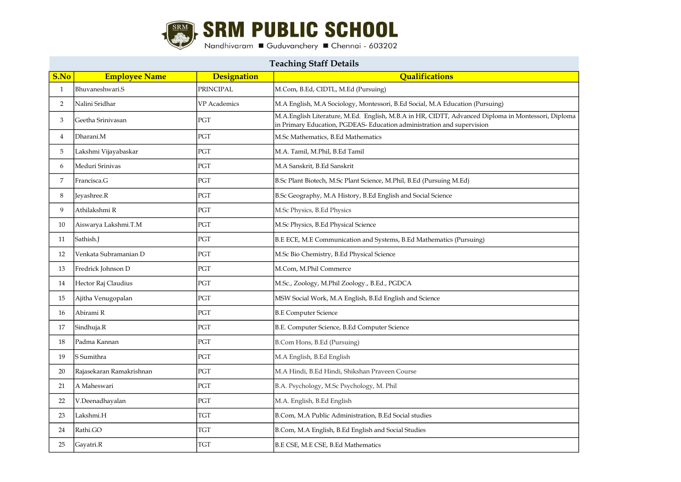

| <b>Teaching Staff Details</b> |                          |                     |                                                                                                                                                                              |
|-------------------------------|--------------------------|---------------------|------------------------------------------------------------------------------------------------------------------------------------------------------------------------------|
| S.No                          | <b>Employee Name</b>     | <b>Designation</b>  | Qualifications                                                                                                                                                               |
| $\mathbf{1}$                  | Bhuvaneshwari.S          | <b>PRINCIPAL</b>    | M.Com, B.Ed, CIDTL, M.Ed (Pursuing)                                                                                                                                          |
| $\overline{2}$                | Nalini Sridhar           | <b>VP</b> Academics | M.A English, M.A Sociology, Montessori, B.Ed Social, M.A Education (Pursuing)                                                                                                |
| 3                             | Geetha Srinivasan        | PGT                 | M.A.English Literature, M.Ed. English, M.B.A in HR, CIDTT, Advanced Diploma in Montessori, Diploma<br>in Primary Education, PGDEAS- Education administration and supervision |
| 4                             | Dharani.M                | PGT                 | M.Sc Mathematics, B.Ed Mathematics                                                                                                                                           |
| 5                             | Lakshmi Vijayabaskar     | PGT                 | M.A. Tamil, M.Phil, B.Ed Tamil                                                                                                                                               |
| 6                             | Meduri Srinivas          | PGT                 | M.A Sanskrit, B.Ed Sanskrit                                                                                                                                                  |
| 7                             | Francisca.G              | PGT                 | B.Sc Plant Biotech, M.Sc Plant Science, M.Phil, B.Ed (Pursuing M.Ed)                                                                                                         |
| 8                             | Jeyashree.R              | PGT                 | B.Sc Geography, M.A History, B.Ed English and Social Science                                                                                                                 |
| 9                             | Athilakshmi R            | PGT                 | M.Sc Physics, B.Ed Physics                                                                                                                                                   |
| 10                            | Aiswarya Lakshmi.T.M     | PGT                 | M.Sc Physics, B.Ed Physical Science                                                                                                                                          |
| 11                            | Sathish.J                | PGT                 | B.E ECE, M.E Communication and Systems, B.Ed Mathematics (Pursuing)                                                                                                          |
| 12                            | Venkata Subramanian D    | PGT                 | M.Sc Bio Chemistry, B.Ed Physical Science                                                                                                                                    |
| 13                            | Fredrick Johnson D       | PGT                 | M.Com, M.Phil Commerce                                                                                                                                                       |
| 14                            | Hector Raj Claudius      | PGT                 | M.Sc., Zoology, M.Phil Zoology., B.Ed., PGDCA                                                                                                                                |
| 15                            | Ajitha Venugopalan       | PGT                 | MSW Social Work, M.A English, B.Ed English and Science                                                                                                                       |
| 16                            | Abirami R                | PGT                 | <b>B.E Computer Science</b>                                                                                                                                                  |
| 17                            | Sindhuja.R               | PGT                 | B.E. Computer Science, B.Ed Computer Science                                                                                                                                 |
| 18                            | Padma Kannan             | PGT                 | B.Com Hons, B.Ed (Pursuing)                                                                                                                                                  |
| 19                            | lS Sumithra              | PGT                 | M.A English, B.Ed English                                                                                                                                                    |
| 20                            | Rajasekaran Ramakrishnan | PGT                 | M.A Hindi, B.Ed Hindi, Shikshan Praveen Course                                                                                                                               |
| 21                            | A Maheswari              | PGT                 | B.A. Psychology, M.Sc Psychology, M. Phil                                                                                                                                    |
| 22                            | V.Deenadhayalan          | PGT                 | M.A. English, B.Ed English                                                                                                                                                   |
| 23                            | Lakshmi.H                | TGT                 | B.Com, M.A Public Administration, B.Ed Social studies                                                                                                                        |
| 24                            | Rathi.GO                 | TGT                 | B.Com, M.A English, B.Ed English and Social Studies                                                                                                                          |
| 25                            | Gavatri.R                | <b>TGT</b>          | B.E CSE, M.E CSE, B.Ed Mathematics                                                                                                                                           |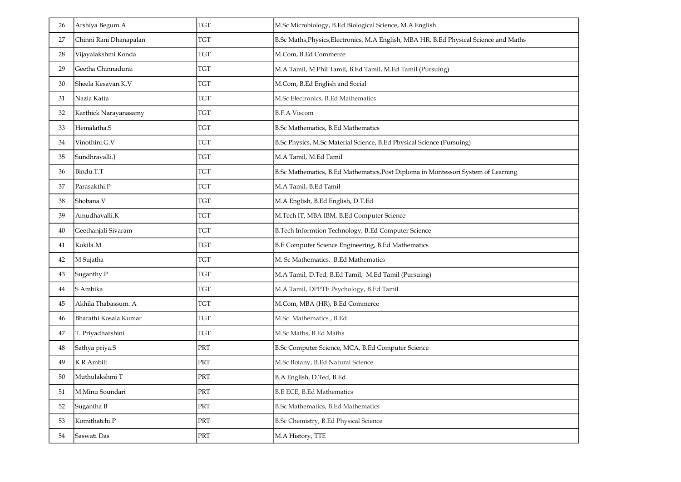| 26 | Arshiya Begum A        | <b>TGT</b>              | M.Sc Microbiology, B.Ed Biological Science, M.A English                                |
|----|------------------------|-------------------------|----------------------------------------------------------------------------------------|
| 27 | Chinni Rani Dhanapalan | <b>TGT</b>              | B.Sc Maths, Physics, Electronics, M.A English, MBA HR, B.Ed Physical Science and Maths |
| 28 | Vijayalakshmi Konda    | <b>TGT</b>              | M.Com, B.Ed Commerce                                                                   |
| 29 | Geetha Chinnadurai     | <b>TGT</b>              | M.A Tamil, M.Phil Tamil, B.Ed Tamil, M.Ed Tamil (Pursuing)                             |
| 30 | Sheela Kesavan.K.V     | TGT                     | M.Com, B.Ed English and Social                                                         |
| 31 | Nazia Katta            | <b>TGT</b>              | M.Sc Electronics, B.Ed Mathematics                                                     |
| 32 | Karthick Narayanasamy  | <b>TGT</b>              | <b>B.F.A Viscom</b>                                                                    |
| 33 | Hemalatha.S            | <b>TGT</b>              | B.Sc Mathematics, B.Ed Mathematics                                                     |
| 34 | Vinothini.G.V          | <b>TGT</b>              | B.Sc Physics, M.Sc Material Science, B.Ed Physical Science (Pursuing)                  |
| 35 | Sundhravalli.J         | <b>TGT</b>              | M.A Tamil, M.Ed Tamil                                                                  |
| 36 | Bindu.T.T              | <b>TGT</b>              | B.Sc Mathematics, B.Ed Mathematics, Post Diploma in Montessori System of Learning      |
| 37 | Parasakthi.P           | <b>TGT</b>              | M.A Tamil, B.Ed Tamil                                                                  |
| 38 | Shobana.V              | <b>TGT</b>              | M.A English, B.Ed English, D.T.Ed                                                      |
| 39 | Amudhavalli.K          | <b>TGT</b>              | M.Tech IT, MBA IBM, B.Ed Computer Science                                              |
| 40 | Geethanjali Sivaram    | <b>TGT</b>              | B.Tech Informtion Technology, B.Ed Computer Science                                    |
| 41 | Kokila.M               | <b>TGT</b>              | B.E Computer Science Engineering, B.Ed Mathematics                                     |
| 42 | M Sujatha              | <b>TGT</b>              | M. Sc Mathematics, B.Ed Mathematics                                                    |
| 43 | Suganthy.P             | <b>TGT</b>              | M.A Tamil, D.Ted, B.Ed Tamil, M.Ed Tamil (Pursuing)                                    |
| 44 | S Ambika               | <b>TGT</b>              | M.A Tamil, DPPTE Psychology, B.Ed Tamil                                                |
| 45 | Akhila Thabassum. A    | <b>TGT</b>              | M.Com, MBA (HR), B.Ed Commerce                                                         |
| 46 | Bharathi Kosala Kumar  | <b>TGT</b>              | M.Sc. Mathematics, B.Ed                                                                |
| 47 | T. Priyadharshini      | TGT                     | M.Sc Maths, B.Ed Maths                                                                 |
| 48 | Sathya priya.S         | PRT                     | B.Sc Computer Science, MCA, B.Ed Computer Science                                      |
| 49 | K R Ambili             | PRT                     | M.Sc Botany, B.Ed Natural Science                                                      |
| 50 | Muthulakshmi T         | PRT                     | B.A English, D.Ted, B.Ed                                                               |
| 51 | M.Minu Soundari        | $\mathop{\mathrm{PRT}}$ | <b>B.E ECE, B.Ed Mathematics</b>                                                       |
| 52 | Sugantha B             | PRT                     | B.Sc Mathematics, B.Ed Mathematics                                                     |
| 53 | Komithatchi.P          | $\mathop{\mathrm{PRT}}$ | B.Sc Chemistry, B.Ed Physical Science                                                  |
| 54 | Saswati Das            | $\mathop{\mathrm{PRT}}$ | M.A History, TTE                                                                       |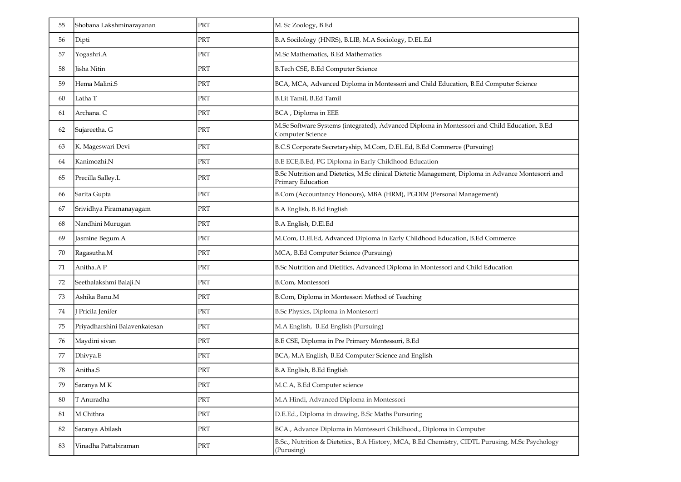| 55 | Shobana Lakshminarayanan      | PRT | M. Sc Zoology, B.Ed                                                                                                     |
|----|-------------------------------|-----|-------------------------------------------------------------------------------------------------------------------------|
| 56 | Dipti                         | PRT | B.A Socilology (HNRS), B.LIB, M.A Sociology, D.EL.Ed                                                                    |
| 57 | Yogashri.A                    | PRT | M.Sc Mathematics, B.Ed Mathematics                                                                                      |
| 58 | Iisha Nitin                   | PRT | B.Tech CSE, B.Ed Computer Science                                                                                       |
| 59 | Hema Malini.S                 | PRT | BCA, MCA, Advanced Diploma in Montessori and Child Education, B.Ed Computer Science                                     |
| 60 | Latha T                       | PRT | B.Lit Tamil, B.Ed Tamil                                                                                                 |
| 61 | Archana. C                    | PRT | BCA, Diploma in EEE                                                                                                     |
| 62 | Sujareetha. G                 | PRT | M.Sc Software Systems (integrated), Advanced Diploma in Montessori and Child Education, B.Ed<br>Computer Science        |
| 63 | K. Mageswari Devi             | PRT | B.C.S Corporate Secretaryship, M.Com, D.EL.Ed, B.Ed Commerce (Pursuing)                                                 |
| 64 | Kanimozhi.N                   | PRT | B.E ECE, B.Ed, PG Diploma in Early Childhood Education                                                                  |
| 65 | Precilla Salley.L             | PRT | B.Sc Nutrition and Dietetics, M.Sc clinical Dietetic Management, Diploma in Advance Montesorri and<br>Primary Education |
| 66 | Sarita Gupta                  | PRT | B.Com (Accountancy Honours), MBA (HRM), PGDIM (Personal Management)                                                     |
| 67 | Srividhya Piramanayagam       | PRT | B.A English, B.Ed English                                                                                               |
| 68 | Nandhini Murugan              | PRT | B.A English, D.El.Ed                                                                                                    |
| 69 | Jasmine Begum.A               | PRT | M.Com, D.El.Ed, Advanced Diploma in Early Childhood Education, B.Ed Commerce                                            |
| 70 | Ragasutha.M                   | PRT | MCA, B.Ed Computer Science (Pursuing)                                                                                   |
| 71 | Anitha.AP                     | PRT | B.Sc Nutrition and Dietitics, Advanced Diploma in Montessori and Child Education                                        |
| 72 | Seethalakshmi Balaji.N        | PRT | B.Com, Montessori                                                                                                       |
| 73 | Ashika Banu.M                 | PRT | B.Com, Diploma in Montessori Method of Teaching                                                                         |
| 74 | J Pricila Jenifer             | PRT | B.Sc Physics, Diploma in Montesorri                                                                                     |
| 75 | Priyadharshini Balavenkatesan | PRT | M.A English, B.Ed English (Pursuing)                                                                                    |
| 76 | Maydini sivan                 | PRT | B.E CSE, Diploma in Pre Primary Montessori, B.Ed                                                                        |
| 77 | Dhivya.E                      | PRT | BCA, M.A English, B.Ed Computer Science and English                                                                     |
| 78 | Anitha.S                      | PRT | B.A English, B.Ed English                                                                                               |
| 79 | Saranya MK                    | PRT | M.C.A, B.Ed Computer science                                                                                            |
| 80 | T Anuradha                    | PRT | M.A Hindi, Advanced Diploma in Montessori                                                                               |
| 81 | M Chithra                     | PRT | D.E.Ed., Diploma in drawing, B.Sc Maths Pursuring                                                                       |
| 82 | Saranya Abilash               | PRT | BCA., Advance Diploma in Montessori Childhood., Diploma in Computer                                                     |
| 83 | Vinadha Pattabiraman          | PRT | B.Sc., Nutrition & Dietetics., B.A History, MCA, B.Ed Chemistry, CIDTL Purusing, M.Sc Psychology<br>(Purusing)          |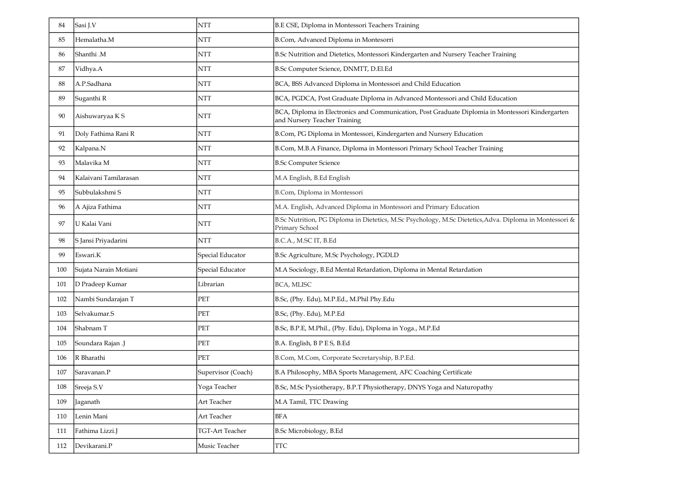| 84  | Sasi J.V              | <b>NTT</b>         | B.E CSE, Diploma in Montessori Teachers Training                                                                                 |
|-----|-----------------------|--------------------|----------------------------------------------------------------------------------------------------------------------------------|
| 85  | Hemalatha.M           | NTT                | B.Com, Advanced Diploma in Montesorri                                                                                            |
| 86  | Shanthi .M            | NTT                | B.Sc Nutrition and Dietetics, Montessori Kindergarten and Nursery Teacher Training                                               |
| 87  | Vidhya.A              | NTT                | B.Sc Computer Science, DNMTT, D.El.Ed                                                                                            |
| 88  | A.P.Sadhana           | NTT                | BCA, BSS Advanced Diploma in Montessori and Child Education                                                                      |
| 89  | Suganthi R            | NTT                | BCA, PGDCA, Post Graduate Diploma in Advanced Montessori and Child Education                                                     |
| 90  | Aishuwaryaa K S       | NTT                | BCA, Diploma in Electronics and Communication, Post Graduate Diplomia in Montessori Kindergarten<br>and Nursery Teacher Training |
| 91  | Doly Fathima Rani R   | <b>NTT</b>         | B.Com, PG Diploma in Montessori, Kindergarten and Nursery Education                                                              |
| 92  | Kalpana.N             | <b>NTT</b>         | B.Com, M.B.A Finance, Diploma in Montessori Primary School Teacher Training                                                      |
| 93  | Malavika M            | <b>NTT</b>         | <b>B.Sc Computer Science</b>                                                                                                     |
| 94  | Kalaivani Tamilarasan | <b>NTT</b>         | M.A English, B.Ed English                                                                                                        |
| 95  | Subbulakshmi S        | <b>NTT</b>         | B.Com, Diploma in Montessori                                                                                                     |
| 96  | A Ajiza Fathima       | NTT                | M.A. English, Advanced Diploma in Montessori and Primary Education                                                               |
| 97  | U Kalai Vani          | <b>NTT</b>         | B.Sc Nutrition, PG Diploma in Dietetics, M.Sc Psychology, M.Sc Dietetics, Adva. Diploma in Montessori &<br>Primary School        |
| 98  | S Jansi Priyadarini   | <b>NTT</b>         | B.C.A., M.SC IT, B.Ed                                                                                                            |
| 99  | Eswari.K              | Special Educator   | B.Sc Agriculture, M.Sc Psychology, PGDLD                                                                                         |
| 100 | Sujata Narain Motiani | Special Educator   | M.A Sociology, B.Ed Mental Retardation, Diploma in Mental Retardation                                                            |
| 101 | D Pradeep Kumar       | Librarian          | <b>BCA, MLISC</b>                                                                                                                |
| 102 | Nambi Sundarajan T    | PET                | B.Sc, (Phy. Edu), M.P.Ed., M.Phil Phy.Edu                                                                                        |
| 103 | Selvakumar.S          | PET                | B.Sc, (Phy. Edu), M.P.Ed                                                                                                         |
| 104 | Shabnam T             | PET                | B.Sc, B.P.E, M.Phil., (Phy. Edu), Diploma in Yoga., M.P.Ed                                                                       |
| 105 | [Soundara Rajan .J    | PET                | B.A. English, B P E S, B.Ed                                                                                                      |
| 106 | R Bharathi            | PET                | B.Com, M.Com, Corporate Secretaryship, B.P.Ed.                                                                                   |
| 107 | Saravanan.P           | Supervisor (Coach) | B.A Philosophy, MBA Sports Management, AFC Coaching Certificate                                                                  |
| 108 | Sreeja S.V            | Yoga Teacher       | B.Sc, M.Sc Pysiotherapy, B.P.T Physiotherapy, DNYS Yoga and Naturopathy                                                          |
| 109 | Jaganath              | Art Teacher        | M.A Tamil, TTC Drawing                                                                                                           |
| 110 | Lenin Mani            | Art Teacher        | <b>BFA</b>                                                                                                                       |
| 111 | Fathima Lizzi.J       | TGT-Art Teacher    | B.Sc Microbiology, B.Ed                                                                                                          |
| 112 | Devikarani.P          | Music Teacher      | <b>TTC</b>                                                                                                                       |